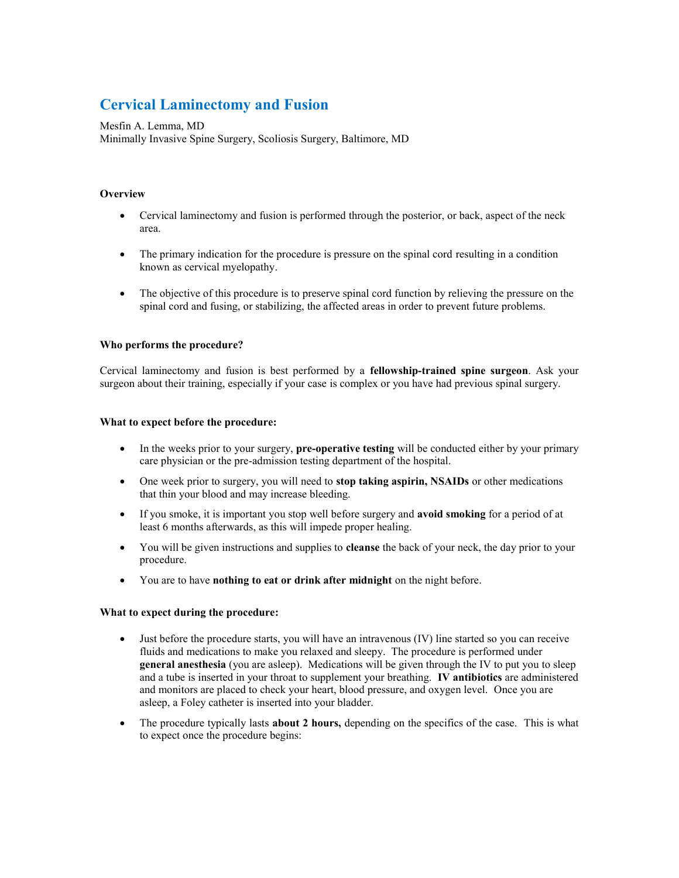# **Cervical Laminectomy and Fusion**

# Mesfin A. Lemma, MD

Minimally Invasive Spine Surgery, Scoliosis Surgery, Baltimore, MD

# **Overview**

- Cervical laminectomy and fusion is performed through the posterior, or back, aspect of the neck area.
- The primary indication for the procedure is pressure on the spinal cord resulting in a condition known as cervical myelopathy.
- The objective of this procedure is to preserve spinal cord function by relieving the pressure on the spinal cord and fusing, or stabilizing, the affected areas in order to prevent future problems.

# **Who performs the procedure?**

Cervical laminectomy and fusion is best performed by a **fellowship-trained spine surgeon**. Ask your surgeon about their training, especially if your case is complex or you have had previous spinal surgery.

### **What to expect before the procedure:**

- In the weeks prior to your surgery, **pre-operative testing** will be conducted either by your primary care physician or the pre-admission testing department of the hospital.
- One week prior to surgery, you will need to **stop taking aspirin, NSAIDs** or other medications that thin your blood and may increase bleeding.
- If you smoke, it is important you stop well before surgery and **avoid smoking** for a period of at least 6 months afterwards, as this will impede proper healing.
- You will be given instructions and supplies to **cleanse** the back of your neck, the day prior to your procedure.
- You are to have **nothing to eat or drink after midnight** on the night before.

# **What to expect during the procedure:**

- Just before the procedure starts, you will have an intravenous (IV) line started so you can receive fluids and medications to make you relaxed and sleepy. The procedure is performed under **general anesthesia** (you are asleep). Medications will be given through the IV to put you to sleep and a tube is inserted in your throat to supplement your breathing. **IV antibiotics** are administered and monitors are placed to check your heart, blood pressure, and oxygen level. Once you are asleep, a Foley catheter is inserted into your bladder.
- The procedure typically lasts **about 2 hours,** depending on the specifics of the case. This is what to expect once the procedure begins: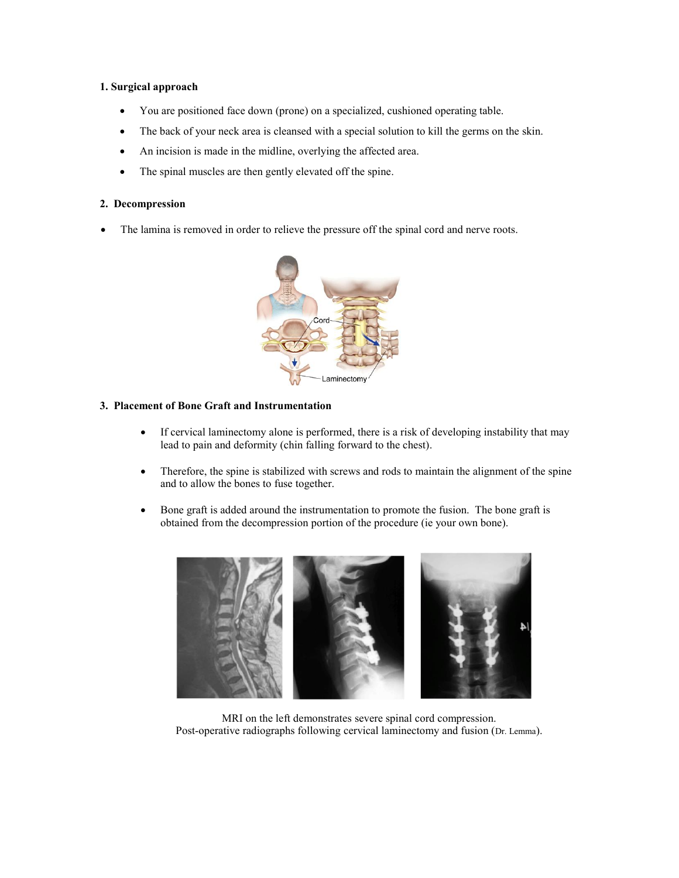## **1. Surgical approach**

- You are positioned face down (prone) on a specialized, cushioned operating table.
- The back of your neck area is cleansed with a special solution to kill the germs on the skin.
- An incision is made in the midline, overlying the affected area.
- The spinal muscles are then gently elevated off the spine.

#### **2. Decompression**

The lamina is removed in order to relieve the pressure off the spinal cord and nerve roots.



#### **3. Placement of Bone Graft and Instrumentation**

- If cervical laminectomy alone is performed, there is a risk of developing instability that may lead to pain and deformity (chin falling forward to the chest).
- Therefore, the spine is stabilized with screws and rods to maintain the alignment of the spine and to allow the bones to fuse together.
- Bone graft is added around the instrumentation to promote the fusion. The bone graft is obtained from the decompression portion of the procedure (ie your own bone).



MRI on the left demonstrates severe spinal cord compression. Post-operative radiographs following cervical laminectomy and fusion (Dr. Lemma).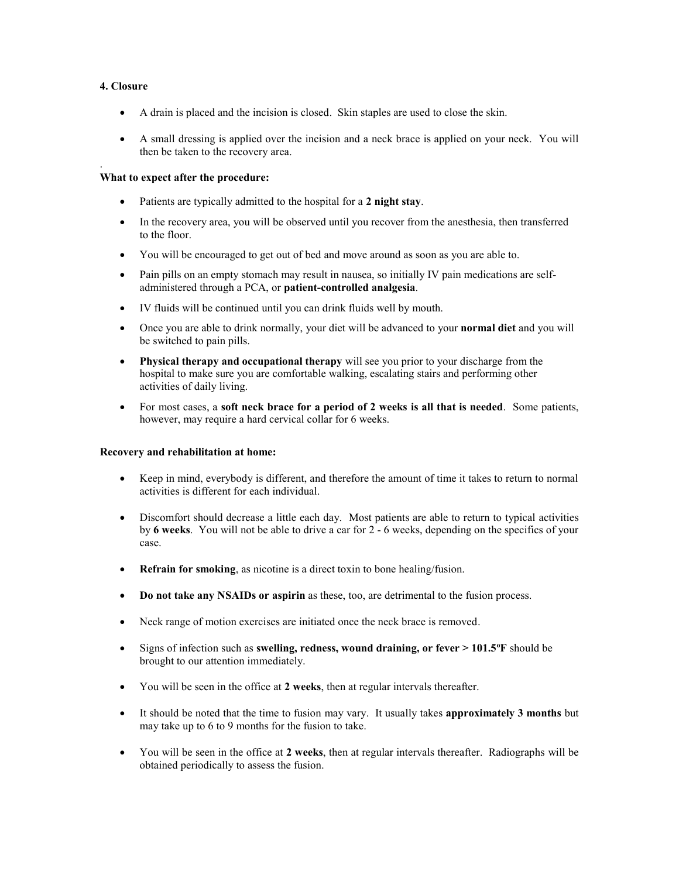## **4. Closure**

.

- A drain is placed and the incision is closed. Skin staples are used to close the skin.
- A small dressing is applied over the incision and a neck brace is applied on your neck. You will then be taken to the recovery area.

## **What to expect after the procedure:**

- Patients are typically admitted to the hospital for a **2 night stay**.
- In the recovery area, you will be observed until you recover from the anesthesia, then transferred to the floor.
- You will be encouraged to get out of bed and move around as soon as you are able to.
- Pain pills on an empty stomach may result in nausea, so initially IV pain medications are selfadministered through a PCA, or **patient-controlled analgesia**.
- IV fluids will be continued until you can drink fluids well by mouth.
- Once you are able to drink normally, your diet will be advanced to your **normal diet** and you will be switched to pain pills.
- **Physical therapy and occupational therapy** will see you prior to your discharge from the hospital to make sure you are comfortable walking, escalating stairs and performing other activities of daily living.
- For most cases, a **soft neck brace for a period of 2 weeks is all that is needed**. Some patients, however, may require a hard cervical collar for 6 weeks.

#### **Recovery and rehabilitation at home:**

- Keep in mind, everybody is different, and therefore the amount of time it takes to return to normal activities is different for each individual.
- Discomfort should decrease a little each day. Most patients are able to return to typical activities by **6 weeks**. You will not be able to drive a car for 2 - 6 weeks, depending on the specifics of your case.
- **Refrain for smoking**, as nicotine is a direct toxin to bone healing/fusion.
- **Do not take any NSAIDs or aspirin** as these, too, are detrimental to the fusion process.
- Neck range of motion exercises are initiated once the neck brace is removed.
- Signs of infection such as **swelling, redness, wound draining, or fever > 101.5<sup>o</sup>F** should be brought to our attention immediately.
- You will be seen in the office at **2 weeks**, then at regular intervals thereafter.
- It should be noted that the time to fusion may vary. It usually takes **approximately 3 months** but may take up to 6 to 9 months for the fusion to take.
- You will be seen in the office at **2 weeks**, then at regular intervals thereafter. Radiographs will be obtained periodically to assess the fusion.